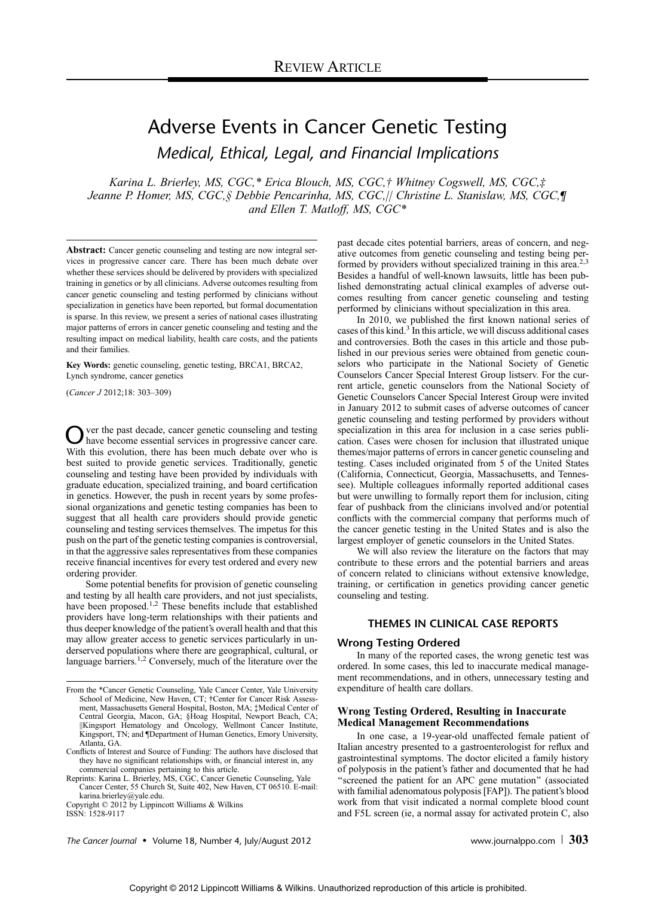# Adverse Events in Cancer Genetic Testing Medical, Ethical, Legal, and Financial Implications

Karina L. Brierley, MS, CGC,\* Erica Blouch, MS, CGC,† Whitney Cogswell, MS, CGC,‡ Jeanne P. Homer, MS, CGC,§ Debbie Pencarinha, MS, CGC,|| Christine L. Stanislaw, MS, CGC,¶ and Ellen T. Matloff, MS, CGC\*

Abstract: Cancer genetic counseling and testing are now integral services in progressive cancer care. There has been much debate over whether these services should be delivered by providers with specialized training in genetics or by all clinicians. Adverse outcomes resulting from cancer genetic counseling and testing performed by clinicians without specialization in genetics have been reported, but formal documentation is sparse. In this review, we present a series of national cases illustrating major patterns of errors in cancer genetic counseling and testing and the resulting impact on medical liability, health care costs, and the patients and their families.

Key Words: genetic counseling, genetic testing, BRCA1, BRCA2, Lynch syndrome, cancer genetics

 $(Cancer\,J\,2012;18:303–309)$ 

Over the past decade, cancer genetic counseling and testing<br>have become essential services in progressive cancer care. With this evolution, there has been much debate over who is best suited to provide genetic services. Traditionally, genetic counseling and testing have been provided by individuals with graduate education, specialized training, and board certification in genetics. However, the push in recent years by some professional organizations and genetic testing companies has been to suggest that all health care providers should provide genetic counseling and testing services themselves. The impetus for this push on the part of the genetic testing companies is controversial, in that the aggressive sales representatives from these companies receive financial incentives for every test ordered and every new ordering provider.

Some potential benefits for provision of genetic counseling and testing by all health care providers, and not just specialists, have been proposed.<sup>1,2</sup> These benefits include that established providers have long-term relationships with their patients and thus deeper knowledge of the patient's overall health and that this may allow greater access to genetic services particularly in underserved populations where there are geographical, cultural, or language barriers.<sup>1,2</sup> Conversely, much of the literature over the

Copyright  $@$  2012 by Lippincott Williams & Wilkins

ISSN: 1528-9117

The Cancer Journal • Volume 18, Number 4, July/August 2012 www.journalppo.com  $\vert$  303

past decade cites potential barriers, areas of concern, and negative outcomes from genetic counseling and testing being performed by providers without specialized training in this area.<sup>2,3</sup> Besides a handful of well-known lawsuits, little has been published demonstrating actual clinical examples of adverse outcomes resulting from cancer genetic counseling and testing performed by clinicians without specialization in this area.

In 2010, we published the first known national series of cases of this kind.<sup>3</sup> In this article, we will discuss additional cases and controversies. Both the cases in this article and those published in our previous series were obtained from genetic counselors who participate in the National Society of Genetic Counselors Cancer Special Interest Group listserv. For the current article, genetic counselors from the National Society of Genetic Counselors Cancer Special Interest Group were invited in January 2012 to submit cases of adverse outcomes of cancer genetic counseling and testing performed by providers without specialization in this area for inclusion in a case series publication. Cases were chosen for inclusion that illustrated unique themes/major patterns of errors in cancer genetic counseling and testing. Cases included originated from 5 of the United States (California, Connecticut, Georgia, Massachusetts, and Tennessee). Multiple colleagues informally reported additional cases but were unwilling to formally report them for inclusion, citing fear of pushback from the clinicians involved and/or potential conflicts with the commercial company that performs much of the cancer genetic testing in the United States and is also the largest employer of genetic counselors in the United States.

We will also review the literature on the factors that may contribute to these errors and the potential barriers and areas of concern related to clinicians without extensive knowledge, training, or certification in genetics providing cancer genetic counseling and testing.

# THEMES IN CLINICAL CASE REPORTS

# Wrong Testing Ordered

In many of the reported cases, the wrong genetic test was ordered. In some cases, this led to inaccurate medical management recommendations, and in others, unnecessary testing and expenditure of health care dollars.

### Wrong Testing Ordered, Resulting in Inaccurate Medical Management Recommendations

In one case, a 19-year-old unaffected female patient of Italian ancestry presented to a gastroenterologist for reflux and gastrointestinal symptoms. The doctor elicited a family history of polyposis in the patient's father and documented that he had "screened the patient for an APC gene mutation" (associated with familial adenomatous polyposis [FAP]). The patient's blood work from that visit indicated a normal complete blood count and F5L screen (ie, a normal assay for activated protein C, also

From the \*Cancer Genetic Counseling, Yale Cancer Center, Yale University School of Medicine, New Haven, CT; †Center for Cancer Risk Assess ment, Massachusetts General Hospital, Boston, MA; ‡Medical Center of Central Georgia, Macon, GA; §Hoag Hospital, Newport Beach, CA; ||Kingsport Hematology and Oncology, Wellmont Cancer Institute, Kingsport, TN; and ¶Department of Human Genetics, Emory University, Atlanta, GA.

Conflicts of Interest and Source of Funding: The authors have disclosed that they have no significant relationships with, or financial interest in, any commercial companies pertaining to this article.

Reprints: Karina L. Brierley, MS, CGC, Cancer Genetic Counseling, Yale Cancer Center, 55 Church St, Suite 402, New Haven, CT 06510. E-mail: karina.brierley@yale.edu.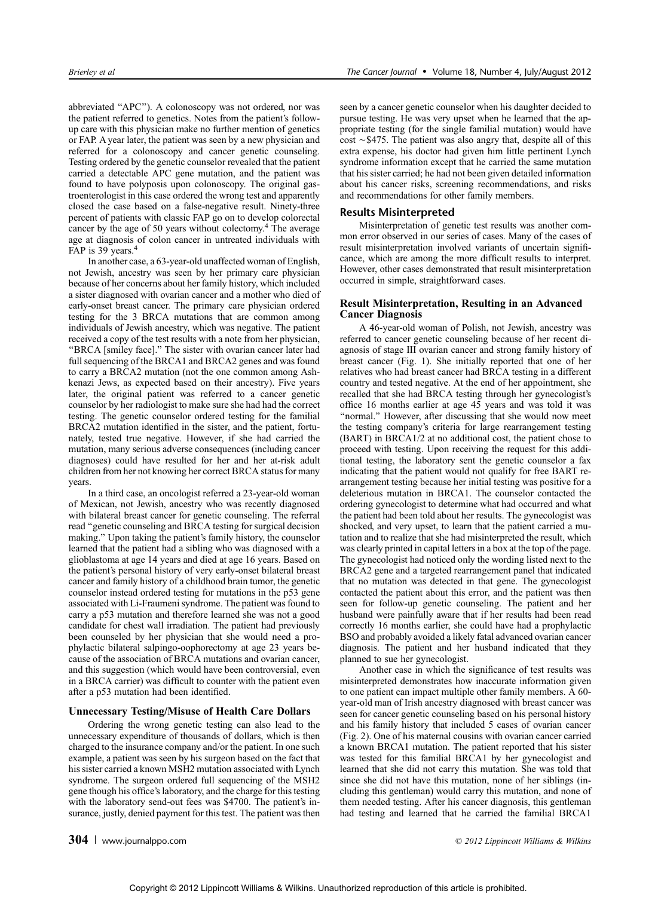abbreviated ''APC''). A colonoscopy was not ordered, nor was the patient referred to genetics. Notes from the patient's followup care with this physician make no further mention of genetics or FAP. A year later, the patient was seen by a new physician and referred for a colonoscopy and cancer genetic counseling. Testing ordered by the genetic counselor revealed that the patient carried a detectable APC gene mutation, and the patient was found to have polyposis upon colonoscopy. The original gastroenterologist in this case ordered the wrong test and apparently closed the case based on a false-negative result. Ninety-three percent of patients with classic FAP go on to develop colorectal cancer by the age of 50 years without colectomy.<sup>4</sup> The average age at diagnosis of colon cancer in untreated individuals with FAP is 39 years.<sup>4</sup>

In another case, a 63-year-old unaffected woman of English, not Jewish, ancestry was seen by her primary care physician because of her concerns about her family history, which included a sister diagnosed with ovarian cancer and a mother who died of early-onset breast cancer. The primary care physician ordered testing for the 3 BRCA mutations that are common among individuals of Jewish ancestry, which was negative. The patient received a copy of the test results with a note from her physician, ''BRCA [smiley face].'' The sister with ovarian cancer later had full sequencing of the BRCA1 and BRCA2 genes and was found to carry a BRCA2 mutation (not the one common among Ashkenazi Jews, as expected based on their ancestry). Five years later, the original patient was referred to a cancer genetic counselor by her radiologist to make sure she had had the correct testing. The genetic counselor ordered testing for the familial BRCA2 mutation identified in the sister, and the patient, fortunately, tested true negative. However, if she had carried the mutation, many serious adverse consequences (including cancer diagnoses) could have resulted for her and her at-risk adult children from her not knowing her correct BRCA status for many years.

In a third case, an oncologist referred a 23-year-old woman of Mexican, not Jewish, ancestry who was recently diagnosed with bilateral breast cancer for genetic counseling. The referral read ''genetic counseling and BRCA testing for surgical decision making.'' Upon taking the patient's family history, the counselor learned that the patient had a sibling who was diagnosed with a glioblastoma at age 14 years and died at age 16 years. Based on the patient's personal history of very early-onset bilateral breast cancer and family history of a childhood brain tumor, the genetic counselor instead ordered testing for mutations in the p53 gene associated with Li-Fraumeni syndrome. The patient was found to carry a p53 mutation and therefore learned she was not a good candidate for chest wall irradiation. The patient had previously been counseled by her physician that she would need a prophylactic bilateral salpingo-oophorectomy at age 23 years because of the association of BRCA mutations and ovarian cancer, and this suggestion (which would have been controversial, even in a BRCA carrier) was difficult to counter with the patient even after a p53 mutation had been identified.

#### Unnecessary Testing/Misuse of Health Care Dollars

Ordering the wrong genetic testing can also lead to the unnecessary expenditure of thousands of dollars, which is then charged to the insurance company and/or the patient. In one such example, a patient was seen by his surgeon based on the fact that his sister carried a known MSH2 mutation associated with Lynch syndrome. The surgeon ordered full sequencing of the MSH2 gene though his office's laboratory, and the charge for this testing with the laboratory send-out fees was \$4700. The patient's insurance, justly, denied payment for this test. The patient was then

seen by a cancer genetic counselor when his daughter decided to pursue testing. He was very upset when he learned that the appropriate testing (for the single familial mutation) would have  $\cos t \sim $475$ . The patient was also angry that, despite all of this extra expense, his doctor had given him little pertinent Lynch syndrome information except that he carried the same mutation that his sister carried; he had not been given detailed information about his cancer risks, screening recommendations, and risks and recommendations for other family members.

#### Results Misinterpreted

Misinterpretation of genetic test results was another common error observed in our series of cases. Many of the cases of result misinterpretation involved variants of uncertain significance, which are among the more difficult results to interpret. However, other cases demonstrated that result misinterpretation occurred in simple, straightforward cases.

# Result Misinterpretation, Resulting in an Advanced Cancer Diagnosis

A 46-year-old woman of Polish, not Jewish, ancestry was referred to cancer genetic counseling because of her recent diagnosis of stage III ovarian cancer and strong family history of breast cancer (Fig. 1). She initially reported that one of her relatives who had breast cancer had BRCA testing in a different country and tested negative. At the end of her appointment, she recalled that she had BRCA testing through her gynecologist's office 16 months earlier at age 45 years and was told it was "normal." However, after discussing that she would now meet the testing company's criteria for large rearrangement testing (BART) in BRCA1/2 at no additional cost, the patient chose to proceed with testing. Upon receiving the request for this additional testing, the laboratory sent the genetic counselor a fax indicating that the patient would not qualify for free BART rearrangement testing because her initial testing was positive for a deleterious mutation in BRCA1. The counselor contacted the ordering gynecologist to determine what had occurred and what the patient had been told about her results. The gynecologist was shocked, and very upset, to learn that the patient carried a mutation and to realize that she had misinterpreted the result, which was clearly printed in capital letters in a box at the top of the page. The gynecologist had noticed only the wording listed next to the BRCA2 gene and a targeted rearrangement panel that indicated that no mutation was detected in that gene. The gynecologist contacted the patient about this error, and the patient was then seen for follow-up genetic counseling. The patient and her husband were painfully aware that if her results had been read correctly 16 months earlier, she could have had a prophylactic BSO and probably avoided a likely fatal advanced ovarian cancer diagnosis. The patient and her husband indicated that they planned to sue her gynecologist.

Another case in which the significance of test results was misinterpreted demonstrates how inaccurate information given to one patient can impact multiple other family members. A 60 year-old man of Irish ancestry diagnosed with breast cancer was seen for cancer genetic counseling based on his personal history and his family history that included 5 cases of ovarian cancer (Fig. 2). One of his maternal cousins with ovarian cancer carried a known BRCA1 mutation. The patient reported that his sister was tested for this familial BRCA1 by her gynecologist and learned that she did not carry this mutation. She was told that since she did not have this mutation, none of her siblings (including this gentleman) would carry this mutation, and none of them needed testing. After his cancer diagnosis, this gentleman had testing and learned that he carried the familial BRCA1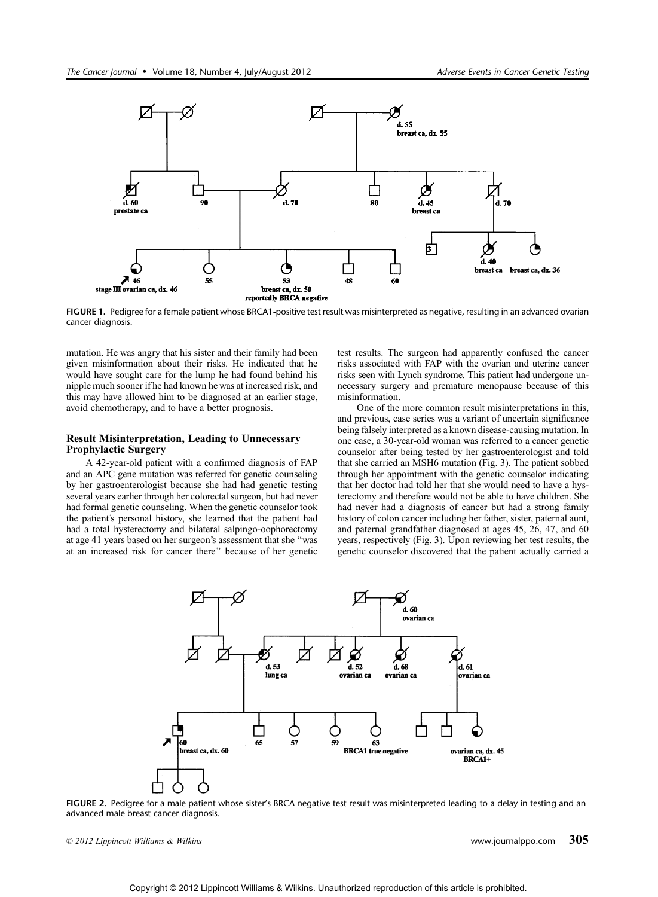

FIGURE 1. Pedigree for a female patient whose BRCA1-positive test result was misinterpreted as negative, resulting in an advanced ovarian cancer diagnosis.

mutation. He was angry that his sister and their family had been given misinformation about their risks. He indicated that he would have sought care for the lump he had found behind his nipple much sooner if he had known he was at increased risk, and this may have allowed him to be diagnosed at an earlier stage, avoid chemotherapy, and to have a better prognosis.

# Result Misinterpretation, Leading to Unnecessary Prophylactic Surgery

A 42-year-old patient with a confirmed diagnosis of FAP and an APC gene mutation was referred for genetic counseling by her gastroenterologist because she had had genetic testing several years earlier through her colorectal surgeon, but had never had formal genetic counseling. When the genetic counselor took the patient's personal history, she learned that the patient had had a total hysterectomy and bilateral salpingo-oophorectomy at age 41 years based on her surgeon's assessment that she ''was at an increased risk for cancer there'' because of her genetic

test results. The surgeon had apparently confused the cancer risks associated with FAP with the ovarian and uterine cancer risks seen with Lynch syndrome. This patient had undergone unnecessary surgery and premature menopause because of this misinformation.

One of the more common result misinterpretations in this, and previous, case series was a variant of uncertain significance being falsely interpreted as a known disease-causing mutation. In one case, a 30-year-old woman was referred to a cancer genetic counselor after being tested by her gastroenterologist and told that she carried an MSH6 mutation (Fig. 3). The patient sobbed through her appointment with the genetic counselor indicating that her doctor had told her that she would need to have a hysterectomy and therefore would not be able to have children. She had never had a diagnosis of cancer but had a strong family history of colon cancer including her father, sister, paternal aunt, and paternal grandfather diagnosed at ages 45, 26, 47, and 60 years, respectively (Fig. 3). Upon reviewing her test results, the genetic counselor discovered that the patient actually carried a



FIGURE 2. Pedigree for a male patient whose sister's BRCA negative test result was misinterpreted leading to a delay in testing and an advanced male breast cancer diagnosis.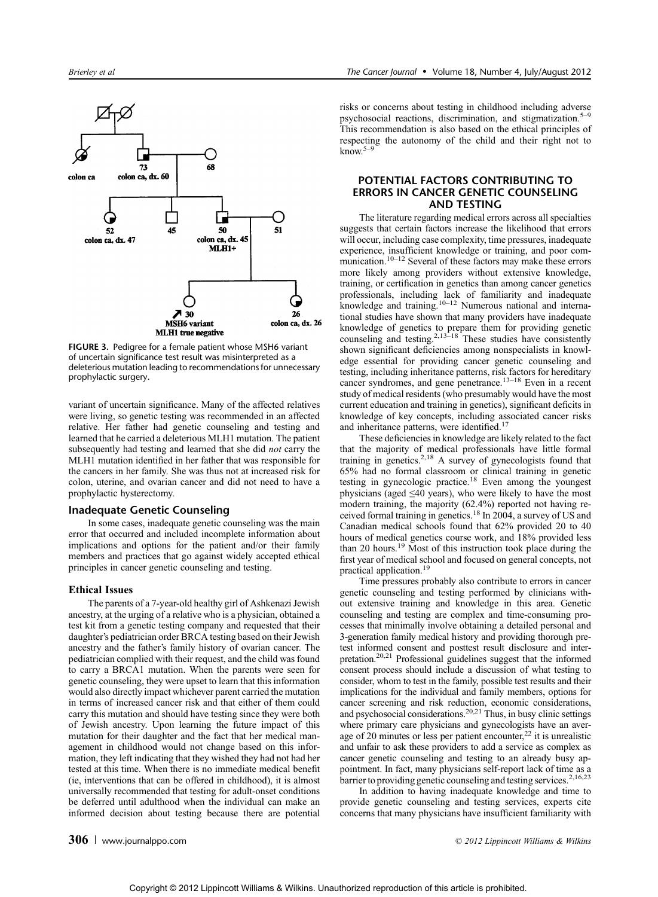

FIGURE 3. Pedigree for a female patient whose MSH6 variant of uncertain significance test result was misinterpreted as a deleterious mutation leading to recommendations for unnecessary prophylactic surgery.

variant of uncertain significance. Many of the affected relatives were living, so genetic testing was recommended in an affected relative. Her father had genetic counseling and testing and learned that he carried a deleterious MLH1 mutation. The patient subsequently had testing and learned that she did not carry the MLH1 mutation identified in her father that was responsible for the cancers in her family. She was thus not at increased risk for colon, uterine, and ovarian cancer and did not need to have a prophylactic hysterectomy.

#### Inadequate Genetic Counseling

In some cases, inadequate genetic counseling was the main error that occurred and included incomplete information about implications and options for the patient and/or their family members and practices that go against widely accepted ethical principles in cancer genetic counseling and testing.

#### Ethical Issues

The parents of a 7-year-old healthy girl of Ashkenazi Jewish ancestry, at the urging of a relative who is a physician, obtained a test kit from a genetic testing company and requested that their daughter's pediatrician order BRCA testing based on their Jewish ancestry and the father's family history of ovarian cancer. The pediatrician complied with their request, and the child was found to carry a BRCA1 mutation. When the parents were seen for genetic counseling, they were upset to learn that this information would also directly impact whichever parent carried the mutation in terms of increased cancer risk and that either of them could carry this mutation and should have testing since they were both of Jewish ancestry. Upon learning the future impact of this mutation for their daughter and the fact that her medical management in childhood would not change based on this information, they left indicating that they wished they had not had her tested at this time. When there is no immediate medical benefit (ie, interventions that can be offered in childhood), it is almost universally recommended that testing for adult-onset conditions be deferred until adulthood when the individual can make an informed decision about testing because there are potential

risks or concerns about testing in childhood including adverse psychosocial reactions, discrimination, and stigmatization.<sup>5-9</sup> This recommendation is also based on the ethical principles of respecting the autonomy of the child and their right not to know. $5-9$ 

# POTENTIAL FACTORS CONTRIBUTING TO ERRORS IN CANCER GENETIC COUNSELING AND TESTING

The literature regarding medical errors across all specialties suggests that certain factors increase the likelihood that errors will occur, including case complexity, time pressures, inadequate experience, insufficient knowledge or training, and poor communication.<sup>10-12</sup> Several of these factors may make these errors more likely among providers without extensive knowledge, training, or certification in genetics than among cancer genetics professionals, including lack of familiarity and inadequate knowledge and training.<sup>10-12</sup> Numerous national and international studies have shown that many providers have inadequate knowledge of genetics to prepare them for providing genetic counseling and testing. $2,13-18$  These studies have consistently shown significant deficiencies among nonspecialists in knowledge essential for providing cancer genetic counseling and testing, including inheritance patterns, risk factors for hereditary cancer syndromes, and gene penetrance.<sup>13-18</sup> Even in a recent study of medical residents (who presumably would have the most current education and training in genetics), significant deficits in knowledge of key concepts, including associated cancer risks and inheritance patterns, were identified.<sup>17</sup>

These deficiencies in knowledge are likely related to the fact that the majority of medical professionals have little formal training in genetics.<sup>2,18</sup> A survey of gynecologists found that 65% had no formal classroom or clinical training in genetic testing in gynecologic practice.<sup>18</sup> Even among the youngest physicians (aged  $\leq 40$  years), who were likely to have the most modern training, the majority (62.4%) reported not having received formal training in genetics.<sup>18</sup> In 2004, a survey of US and Canadian medical schools found that 62% provided 20 to 40 hours of medical genetics course work, and 18% provided less than 20 hours.<sup>19</sup> Most of this instruction took place during the first year of medical school and focused on general concepts, not practical application.<sup>19</sup>

Time pressures probably also contribute to errors in cancer genetic counseling and testing performed by clinicians without extensive training and knowledge in this area. Genetic counseling and testing are complex and time-consuming processes that minimally involve obtaining a detailed personal and 3-generation family medical history and providing thorough pretest informed consent and posttest result disclosure and interpretation.20,21 Professional guidelines suggest that the informed consent process should include a discussion of what testing to consider, whom to test in the family, possible test results and their implications for the individual and family members, options for cancer screening and risk reduction, economic considerations, and psychosocial considerations.20,21 Thus, in busy clinic settings where primary care physicians and gynecologists have an average of 20 minutes or less per patient encounter, $^{22}$  it is unrealistic and unfair to ask these providers to add a service as complex as cancer genetic counseling and testing to an already busy appointment. In fact, many physicians self-report lack of time as a barrier to providing genetic counseling and testing services.<sup>2,16,23</sup>

In addition to having inadequate knowledge and time to provide genetic counseling and testing services, experts cite concerns that many physicians have insufficient familiarity with

**306** www.journalppo.com  $\degree$  2012 Lippincott Williams & Wilkins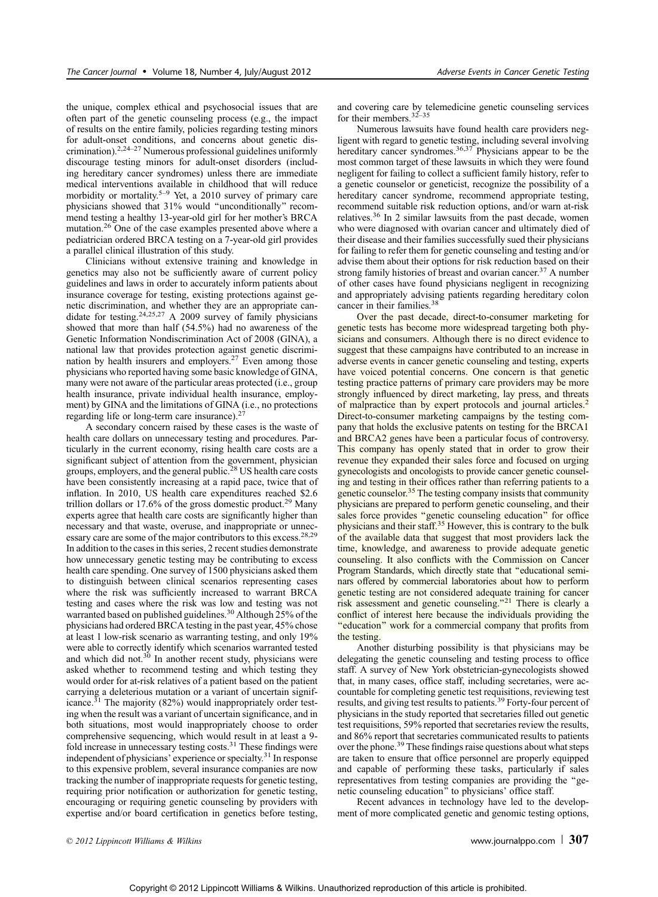the unique, complex ethical and psychosocial issues that are often part of the genetic counseling process (e.g., the impact of results on the entire family, policies regarding testing minors for adult-onset conditions, and concerns about genetic discrimination).<sup>2,24-27</sup> Numerous professional guidelines uniformly discourage testing minors for adult-onset disorders (including hereditary cancer syndromes) unless there are immediate medical interventions available in childhood that will reduce morbidity or mortality.<sup>5-9</sup> Yet, a 2010 survey of primary care physicians showed that 31% would ''unconditionally'' recommend testing a healthy 13-year-old girl for her mother's BRCA mutation.<sup>26</sup> One of the case examples presented above where a pediatrician ordered BRCA testing on a 7-year-old girl provides a parallel clinical illustration of this study.

Clinicians without extensive training and knowledge in genetics may also not be sufficiently aware of current policy guidelines and laws in order to accurately inform patients about insurance coverage for testing, existing protections against genetic discrimination, and whether they are an appropriate candidate for testing.<sup>24,25,27</sup> A 2009 survey of family physicians showed that more than half (54.5%) had no awareness of the Genetic Information Nondiscrimination Act of 2008 (GINA), a national law that provides protection against genetic discrimination by health insurers and employers. $27$  Even among those physicians who reported having some basic knowledge of GINA, many were not aware of the particular areas protected (i.e., group health insurance, private individual health insurance, employment) by GINA and the limitations of GINA (i.e., no protections regarding life or long-term care insurance). $<sup>2</sup>$ </sup>

A secondary concern raised by these cases is the waste of health care dollars on unnecessary testing and procedures. Particularly in the current economy, rising health care costs are a significant subject of attention from the government, physician groups, employers, and the general public.<sup>28</sup> US health care costs have been consistently increasing at a rapid pace, twice that of inflation. In 2010, US health care expenditures reached \$2.6 trillion dollars or  $17.6\%$  of the gross domestic product.<sup>29</sup> Many experts agree that health care costs are significantly higher than necessary and that waste, overuse, and inappropriate or unnecessary care are some of the major contributors to this excess.<sup>28,29</sup> In addition to the cases in this series, 2 recent studies demonstrate how unnecessary genetic testing may be contributing to excess health care spending. One survey of 1500 physicians asked them to distinguish between clinical scenarios representing cases where the risk was sufficiently increased to warrant BRCA testing and cases where the risk was low and testing was not warranted based on published guidelines.<sup>30</sup> Although 25% of the physicians had ordered BRCA testing in the past year, 45% chose at least 1 low-risk scenario as warranting testing, and only 19% were able to correctly identify which scenarios warranted tested and which did not.<sup>30</sup> In another recent study, physicians were asked whether to recommend testing and which testing they would order for at-risk relatives of a patient based on the patient carrying a deleterious mutation or a variant of uncertain significance. $31$  The majority (82%) would inappropriately order testing when the result was a variant of uncertain significance, and in both situations, most would inappropriately choose to order comprehensive sequencing, which would result in at least a 9 fold increase in unnecessary testing costs.<sup>31</sup> These findings were independent of physicians' experience or specialty.<sup>31</sup> In response to this expensive problem, several insurance companies are now tracking the number of inappropriate requests for genetic testing, requiring prior notification or authorization for genetic testing, encouraging or requiring genetic counseling by providers with expertise and/or board certification in genetics before testing,

and covering care by telemedicine genetic counseling services for their members.  $32-35$ 

Numerous lawsuits have found health care providers negligent with regard to genetic testing, including several involving hereditary cancer syndromes.<sup>36,37</sup> Physicians appear to be the most common target of these lawsuits in which they were found negligent for failing to collect a sufficient family history, refer to a genetic counselor or geneticist, recognize the possibility of a hereditary cancer syndrome, recommend appropriate testing, recommend suitable risk reduction options, and/or warn at-risk relatives.36 In 2 similar lawsuits from the past decade, women who were diagnosed with ovarian cancer and ultimately died of their disease and their families successfully sued their physicians for failing to refer them for genetic counseling and testing and/or advise them about their options for risk reduction based on their strong family histories of breast and ovarian cancer.<sup>37</sup> A number of other cases have found physicians negligent in recognizing and appropriately advising patients regarding hereditary colon cancer in their families.<sup>38</sup>

Over the past decade, direct-to-consumer marketing for genetic tests has become more widespread targeting both physicians and consumers. Although there is no direct evidence to suggest that these campaigns have contributed to an increase in adverse events in cancer genetic counseling and testing, experts have voiced potential concerns. One concern is that genetic testing practice patterns of primary care providers may be more strongly influenced by direct marketing, lay press, and threats of malpractice than by expert protocols and journal articles.<sup>2</sup> Direct-to-consumer marketing campaigns by the testing company that holds the exclusive patents on testing for the BRCA1 and BRCA2 genes have been a particular focus of controversy. This company has openly stated that in order to grow their revenue they expanded their sales force and focused on urging gynecologists and oncologists to provide cancer genetic counseling and testing in their offices rather than referring patients to a genetic counselor.<sup>35</sup> The testing company insists that community physicians are prepared to perform genetic counseling, and their sales force provides "genetic counseling education" for office physicians and their staff.<sup>35</sup> However, this is contrary to the bulk of the available data that suggest that most providers lack the time, knowledge, and awareness to provide adequate genetic counseling. It also conflicts with the Commission on Cancer Program Standards, which directly state that "educational seminars offered by commercial laboratories about how to perform genetic testing are not considered adequate training for cancer risk assessment and genetic counseling."<sup>21</sup> There is clearly a conflict of interest here because the individuals providing the "education" work for a commercial company that profits from the testing.

Another disturbing possibility is that physicians may be delegating the genetic counseling and testing process to office staff. A survey of New York obstetrician-gynecologists showed that, in many cases, office staff, including secretaries, were accountable for completing genetic test requisitions, reviewing test results, and giving test results to patients.<sup>39</sup> Forty-four percent of physicians in the study reported that secretaries filled out genetic test requisitions, 59% reported that secretaries review the results, and 86% report that secretaries communicated results to patients over the phone.<sup>39</sup> These findings raise questions about what steps are taken to ensure that office personnel are properly equipped and capable of performing these tasks, particularly if sales representatives from testing companies are providing the ''genetic counseling education'' to physicians' office staff.

Recent advances in technology have led to the development of more complicated genetic and genomic testing options,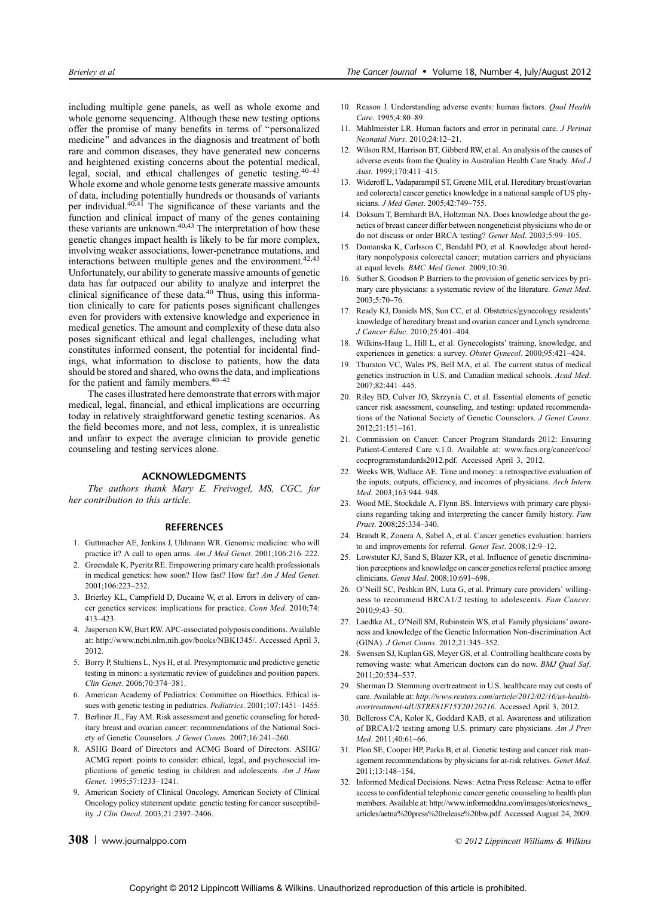including multiple gene panels, as well as whole exome and whole genome sequencing. Although these new testing options offer the promise of many benefits in terms of ''personalized medicine'' and advances in the diagnosis and treatment of both rare and common diseases, they have generated new concerns and heightened existing concerns about the potential medical, legal, social, and ethical challenges of genetic testing.<sup>40-43</sup> Whole exome and whole genome tests generate massive amounts of data, including potentially hundreds or thousands of variants per individual.<sup>40,41</sup> The significance of these variants and the function and clinical impact of many of the genes containing these variants are unknown. $40,43$  The interpretation of how these genetic changes impact health is likely to be far more complex, involving weaker associations, lower-penetrance mutations, and interactions between multiple genes and the environment.42,43 Unfortunately, our ability to generate massive amounts of genetic data has far outpaced our ability to analyze and interpret the clinical significance of these data.<sup>40</sup> Thus, using this information clinically to care for patients poses significant challenges even for providers with extensive knowledge and experience in medical genetics. The amount and complexity of these data also poses significant ethical and legal challenges, including what constitutes informed consent, the potential for incidental findings, what information to disclose to patients, how the data should be stored and shared, who owns the data, and implications for the patient and family members. $40-42$ 

The cases illustrated here demonstrate that errors with major medical, legal, financial, and ethical implications are occurring today in relatively straightforward genetic testing scenarios. As the field becomes more, and not less, complex, it is unrealistic and unfair to expect the average clinician to provide genetic counseling and testing services alone.

#### ACKNOWLEDGMENTS

The authors thank Mary E. Freivogel, MS, CGC, for her contribution to this article.

#### **REFERENCES**

- 1. Guttmacher AE, Jenkins J, Uhlmann WR. Genomic medicine: who will practice it? A call to open arms. Am J Med Genet.  $2001:106:216-222$ .
- 2. Greendale K, Pyeritz RE. Empowering primary care health professionals in medical genetics: how soon? How fast? How far? Am J Med Genet. 2001;106:223-232.
- 3. Brierley KL, Campfield D, Ducaine W, et al. Errors in delivery of cancer genetics services: implications for practice. Conn Med. 2010;74: 413-423.
- 4. Jasperson KW, Burt RW. APC-associated polyposis conditions. Available at: http://www.ncbi.nlm.nih.gov/books/NBK1345/. Accessed April 3, 2012.
- [5. Borry P, Stultiens L, Nys H, et al. Presymptom](http://www.ncbi.nlm.nih.gov/books/NBK1345/)atic and predictive genetic testing in minors: a systematic review of guidelines and position papers. Clin Genet. 2006;70:374-381.
- 6. American Academy of Pediatrics: Committee on Bioethics. Ethical issues with genetic testing in pediatrics. Pediatrics. 2001;107:1451-1455.
- 7. Berliner JL, Fay AM. Risk assessment and genetic counseling for hereditary breast and ovarian cancer: recommendations of the National Society of Genetic Counselors. J Genet Couns. 2007;16:241-260.
- 8. ASHG Board of Directors and ACMG Board of Directors. ASHG/ ACMG report: points to consider: ethical, legal, and psychosocial implications of genetic testing in children and adolescents. Am J Hum Genet. 1995:57:1233-1241.
- 9. American Society of Clinical Oncology. American Society of Clinical Oncology policy statement update: genetic testing for cancer susceptibility. J Clin Oncol. 2003;21:2397-2406.
- 10. Reason J. Understanding adverse events: human factors. Qual Health  $Care$  1995;4:80-89.
- 11. Mahlmeister LR. Human factors and error in perinatal care. J Perinat Neonatal Nurs. 2010:24:12-21.
- 12. Wilson RM, Harrison BT, Gibberd RW, et al. An analysis of the causes of adverse events from the Quality in Australian Health Care Study. Med J Aust. 1999;170:411-415.
- 13. Wideroff L, Vadaparampil ST, Greene MH, et al. Hereditary breast/ovarian and colorectal cancer genetics knowledge in a national sample of US physicians. J Med Genet. 2005;42:749-755.
- 14. Doksum T, Bernhardt BA, Holtzman NA. Does knowledge about the genetics of breast cancer differ between nongeneticist physicians who do or do not discuss or order BRCA testing? Genet Med. 2003;5:99-105.
- 15. Domanska K, Carlsson C, Bendahl PO, et al. Knowledge about hereditary nonpolyposis colorectal cancer; mutation carriers and physicians at equal levels. BMC Med Genet. 2009;10:30.
- 16. Suther S, Goodson P. Barriers to the provision of genetic services by primary care physicians: a systematic review of the literature. Genet Med.  $2003:5:70-76.$
- 17. Ready KJ, Daniels MS, Sun CC, et al. Obstetrics/gynecology residents' knowledge of hereditary breast and ovarian cancer and Lynch syndrome. J Cancer Educ. 2010;25:401-404.
- 18. Wilkins-Haug L, Hill L, et al. Gynecologists' training, knowledge, and experiences in genetics: a survey. Obstet Gynecol. 2000;95:421-424.
- 19. Thurston VC, Wales PS, Bell MA, et al. The current status of medical genetics instruction in U.S. and Canadian medical schools. Acad Med. 2007;82:441-445.
- 20. Riley BD, Culver JO, Skrzynia C, et al. Essential elements of genetic cancer risk assessment, counseling, and testing: updated recommendations of the National Society of Genetic Counselors. J Genet Couns.  $2012:21:151-161.$
- 21. Commission on Cancer. Cancer Program Standards 2012: Ensuring Patient-Centered Care v.1.0. Available at: [www.facs.org/cancer/coc/](www.facs.org/cancer/coc/cocprogramstandards2012.pdf) [cocprogramstandards2012.pdf.](www.facs.org/cancer/coc/cocprogramstandards2012.pdf) Accessed April 3, 2012.
- 22. Weeks WB, Wallace AE. Time and money: a retrospective evaluation of the inputs, outputs, efficiency, and incomes of physicians. Arch Intern Med. 2003;163:944-948.
- 23. Wood ME, Stockdale A, Flynn BS. Interviews with primary care physicians regarding taking and interpreting the cancer family history. Fam Pract. 2008:25:334-340.
- 24. Brandt R, Zonera A, Sabel A, et al. Cancer genetics evaluation: barriers to and improvements for referral. Genet Test. 2008;12:9-12.
- 25. Lowstuter KJ, Sand S, Blazer KR, et al. Influence of genetic discrimination perceptions and knowledge on cancer genetics referral practice among clinicians. Genet Med. 2008;10:691-698.
- 26. O'Neill SC, Peshkin BN, Luta G, et al. Primary care providers' willingness to recommend BRCA1/2 testing to adolescents. Fam Cancer. 2010;9:43-50.
- 27. Laedtke AL, O'Neill SM, Rubinstein WS, et al. Family physicians' awareness and knowledge of the Genetic Information Non-discrimination Act (GINA). J Genet Couns. 2012;21:345-352.
- 28. Swensen SJ, Kaplan GS, Meyer GS, et al. Controlling healthcare costs by removing waste: what American doctors can do now. BMJ Qual Saf. 2011;20:534-537.
- 29. Sherman D. Stemming overtreatment in U.S. healthcare may cut costs of care. Available at: http://www.reuters.com/article/2012/02/16/us-healthovertreatment-idUSTRE81F15Y20120216. Accessed April 3, 2012.
- 30. Bellcross C[A, Kolor K, Goddard KAB, et al. Awareness and utili](http://www.reuters.com/article/2012/02/16/us-health-overtreatment-idUSTRE81F15Y20120216)zation [of BRCA1/2 testing among U.S. pr](http://www.reuters.com/article/2012/02/16/us-health-overtreatment-idUSTRE81F15Y20120216)imary care physicians. Am J Prev Med. 2011;40:61-66.
- 31. Plon SE, Cooper HP, Parks B, et al. Genetic testing and cancer risk management recommendations by physicians for at-risk relatives. Genet Med. 2011:13:148-154.
- 32. Informed Medical Decisions. News: Aetna Press Release: Aetna to offer access to confidential telephonic cancer genetic counseling to health plan members. Available at: [http://www.informeddna.com/images/stories/news\\_](http://www.informeddna.com/images/stories/news_articles/aetna%20press%20release%20bw.pdf) [articles/aetna%20press%20release%20bw.pdf.](http://www.informeddna.com/images/stories/news_articles/aetna%20press%20release%20bw.pdf) Accessed August 24, 2009.

**308** www.journalppo.com  $\degree$  2012 Lippincott Williams & Wilkins